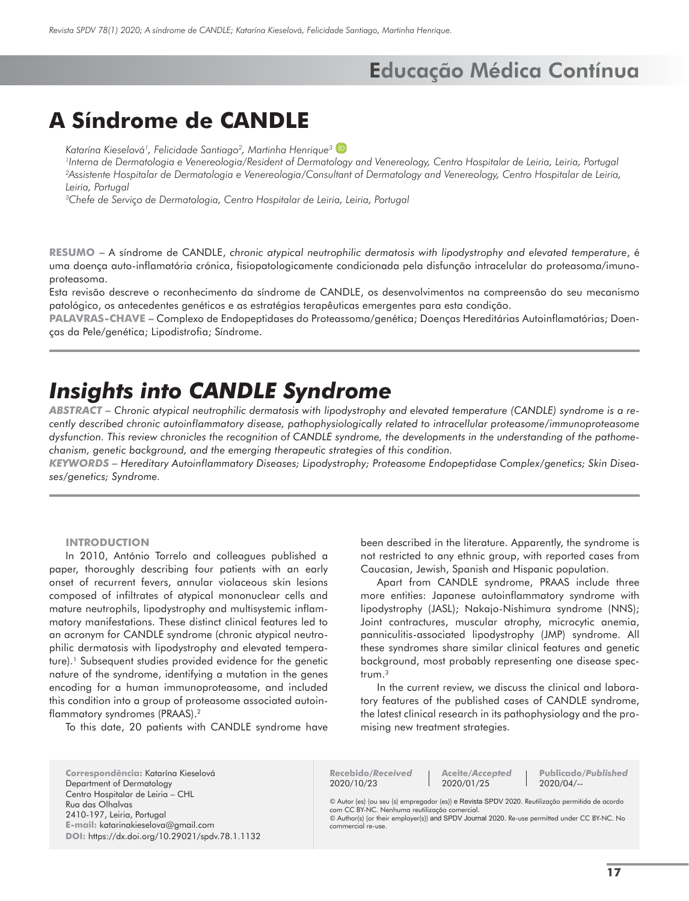## **A Síndrome de CANDLE**

*Katarína Kieselová<sup>1</sup> , Felicidade Santiago<sup>2</sup> , Martinha Henrique3*

*1 Interna de Dermatologia e Venereologia/Resident of Dermatology and Venereology, Centro Hospitalar de Leiria, Leiria, Portugal 2 Assistente Hospitalar de Dermatologia e Venereologia/Consultant of Dermatology and Venereology, Centro Hospitalar de Leiria, Leiria, Portugal*

*3 Chefe de Serviço de Dermatologia, Centro Hospitalar de Leiria, Leiria, Portugal*

**RESUMO –** A síndrome de CANDLE, *chronic atypical neutrophilic dermatosis with lipodystrophy and elevated temperature*, é uma doença auto-inflamatória crónica, fisiopatologicamente condicionada pela disfunção intracelular do proteasoma/imunoproteasoma.

Esta revisão descreve o reconhecimento da síndrome de CANDLE, os desenvolvimentos na compreensão do seu mecanismo patológico, os antecedentes genéticos e as estratégias terapêuticas emergentes para esta condição.

**PALAVRAS-CHAVE –** Complexo de Endopeptidases do Proteassoma/genética; Doenças Hereditárias Autoinflamatórias; Doenças da Pele/genética; Lipodistrofia; Síndrome.

## *Insights into CANDLE Syndrome*

*ABSTRACT – Chronic atypical neutrophilic dermatosis with lipodystrophy and elevated temperature (CANDLE) syndrome is a recently described chronic autoinflammatory disease, pathophysiologically related to intracellular proteasome/immunoproteasome dysfunction. This review chronicles the recognition of CANDLE syndrome, the developments in the understanding of the pathomechanism, genetic background, and the emerging therapeutic strategies of this condition.* 

*KEYWORDS – Hereditary Autoinflammatory Diseases; Lipodystrophy; Proteasome Endopeptidase Complex/genetics; Skin Diseases/genetics; Syndrome.*

### **INTRODUCTION**

In 2010, António Torrelo and colleagues published a paper, thoroughly describing four patients with an early onset of recurrent fevers, annular violaceous skin lesions composed of infiltrates of atypical mononuclear cells and mature neutrophils, lipodystrophy and multisystemic inflammatory manifestations. These distinct clinical features led to an acronym for CANDLE syndrome (chronic atypical neutrophilic dermatosis with lipodystrophy and elevated temperature).<sup>1</sup> Subsequent studies provided evidence for the genetic nature of the syndrome, identifying a mutation in the genes encoding for a human immunoproteasome, and included this condition into a group of proteasome associated autoinflammatory syndromes (PRAAS).2

To this date, 20 patients with CANDLE syndrome have

been described in the literature. Apparently, the syndrome is not restricted to any ethnic group, with reported cases from Caucasian, Jewish, Spanish and Hispanic population.

Apart from CANDLE syndrome, PRAAS include three more entities: Japanese autoinflammatory syndrome with lipodystrophy (JASL); Nakajo-Nishimura syndrome (NNS); Joint contractures, muscular atrophy, microcytic anemia, panniculitis-associated lipodystrophy (JMP) syndrome. All these syndromes share similar clinical features and genetic background, most probably representing one disease spectrum.3

In the current review, we discuss the clinical and laboratory features of the published cases of CANDLE syndrome, the latest clinical research in its pathophysiology and the promising new treatment strategies.

**Correspondência:** Katarína Kieselová Department of Dermatology Centro Hospitalar de Leiria – CHL Rua das Olhalvas 2410-197, Leiria, Portugal **E-mail:** katarinakieselova@gmail.com **DOI:** https://dx.doi.org/10.29021/spdv.78.1.1132 **Recebido/***Received* 2020/10/23

**Aceite/***Accepted* 2020/01/25

**Publicado/***Published* 2020/04/--

© Autor (es) (ou seu (s) empregador (es)) e Revista SPDV 2020. Reutilização permitida de acordo com CC BY-NC. Nenhuma reutilização comercial. © Author(s) (or their employer(s)) and SPDV Journal 2020. Re-use permitted under CC BY-NC. No

commercial re-use.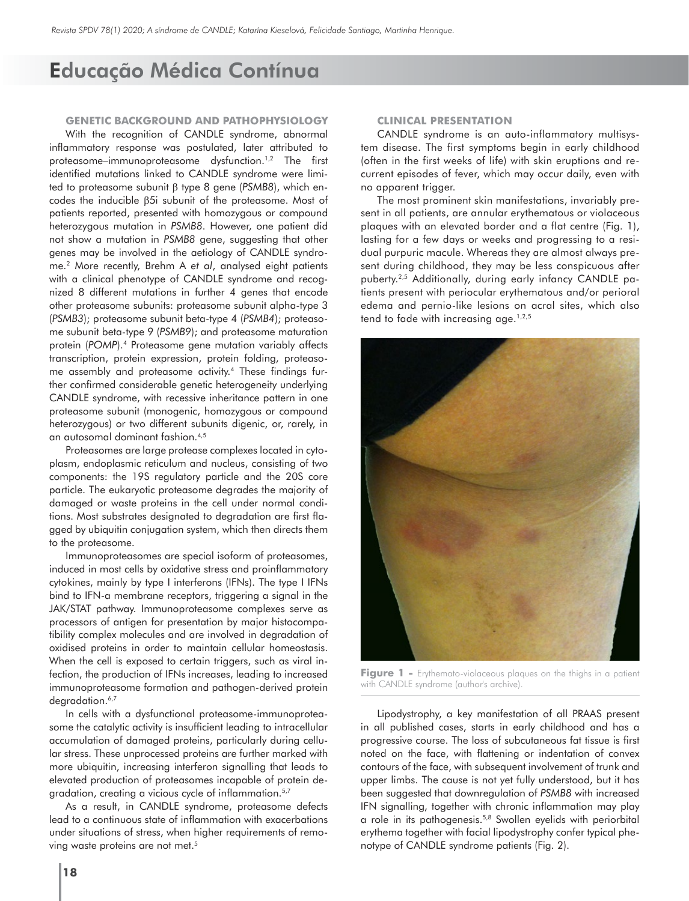#### **GENETIC BACKGROUND AND PATHOPHYSIOLOGY**

With the recognition of CANDLE syndrome, abnormal inflammatory response was postulated, later attributed to proteasome–immunoproteasome dysfunction.1,2 The first identified mutations linked to CANDLE syndrome were limited to proteasome subunit β type 8 gene (*PSMB8*), which encodes the inducible β5i subunit of the proteasome. Most of patients reported, presented with homozygous or compound heterozygous mutation in *PSMB8*. However, one patient did not show a mutation in *PSMB8* gene, suggesting that other genes may be involved in the aetiology of CANDLE syndrome.2 More recently, Brehm A *et al*, analysed eight patients with a clinical phenotype of CANDLE syndrome and recognized 8 different mutations in further 4 genes that encode other proteasome subunits: proteasome subunit alpha-type 3 (*PSMB3*); proteasome subunit beta-type 4 (*PSMB4*); proteasome subunit beta-type 9 (*PSMB9*); and proteasome maturation protein (*POMP*).4 Proteasome gene mutation variably affects transcription, protein expression, protein folding, proteasome assembly and proteasome activity.4 These findings further confirmed considerable genetic heterogeneity underlying CANDLE syndrome, with recessive inheritance pattern in one proteasome subunit (monogenic, homozygous or compound heterozygous) or two different subunits digenic, or, rarely, in an autosomal dominant fashion.4,5

Proteasomes are large protease complexes located in cytoplasm, endoplasmic reticulum and nucleus, consisting of two components: the 19S regulatory particle and the 20S core particle. The eukaryotic proteasome degrades the majority of damaged or waste proteins in the cell under normal conditions. Most substrates designated to degradation are first flagged by ubiquitin conjugation system, which then directs them to the proteasome.

Immunoproteasomes are special isoform of proteasomes, induced in most cells by oxidative stress and proinflammatory cytokines, mainly by type I interferons (IFNs). The type I IFNs bind to IFN-a membrane receptors, triggering a signal in the JAK/STAT pathway. Immunoproteasome complexes serve as processors of antigen for presentation by major histocompatibility complex molecules and are involved in degradation of oxidised proteins in order to maintain cellular homeostasis. When the cell is exposed to certain triggers, such as viral infection, the production of IFNs increases, leading to increased immunoproteasome formation and pathogen-derived protein degradation.<sup>6,7</sup>

In cells with a dysfunctional proteasome-immunoproteasome the catalytic activity is insufficient leading to intracellular accumulation of damaged proteins, particularly during cellular stress. These unprocessed proteins are further marked with more ubiquitin, increasing interferon signalling that leads to elevated production of proteasomes incapable of protein degradation, creating a vicious cycle of inflammation.<sup>5,7</sup>

As a result, in CANDLE syndrome, proteasome defects lead to a continuous state of inflammation with exacerbations under situations of stress, when higher requirements of removing waste proteins are not met.<sup>5</sup>

### **CLINICAL PRESENTATION**

CANDLE syndrome is an auto-inflammatory multisystem disease. The first symptoms begin in early childhood (often in the first weeks of life) with skin eruptions and recurrent episodes of fever, which may occur daily, even with no apparent trigger.

The most prominent skin manifestations, invariably present in all patients, are annular erythematous or violaceous plaques with an elevated border and a flat centre (Fig. 1), lasting for a few days or weeks and progressing to a residual purpuric macule. Whereas they are almost always present during childhood, they may be less conspicuous after puberty.2,5 Additionally, during early infancy CANDLE patients present with periocular erythematous and/or perioral edema and pernio-like lesions on acral sites, which also tend to fade with increasing age. $1,2,5$ 



Figure 1 - Erythemato-violaceous plaques on the thighs in a patient with CANDLE syndrome (author's archive).

Lipodystrophy, a key manifestation of all PRAAS present in all published cases, starts in early childhood and has a progressive course. The loss of subcutaneous fat tissue is first noted on the face, with flattening or indentation of convex contours of the face, with subsequent involvement of trunk and upper limbs. The cause is not yet fully understood, but it has been suggested that downregulation of *PSMB8* with increased IFN signalling, together with chronic inflammation may play a role in its pathogenesis.5,8 Swollen eyelids with periorbital erythema together with facial lipodystrophy confer typical phenotype of CANDLE syndrome patients (Fig. 2).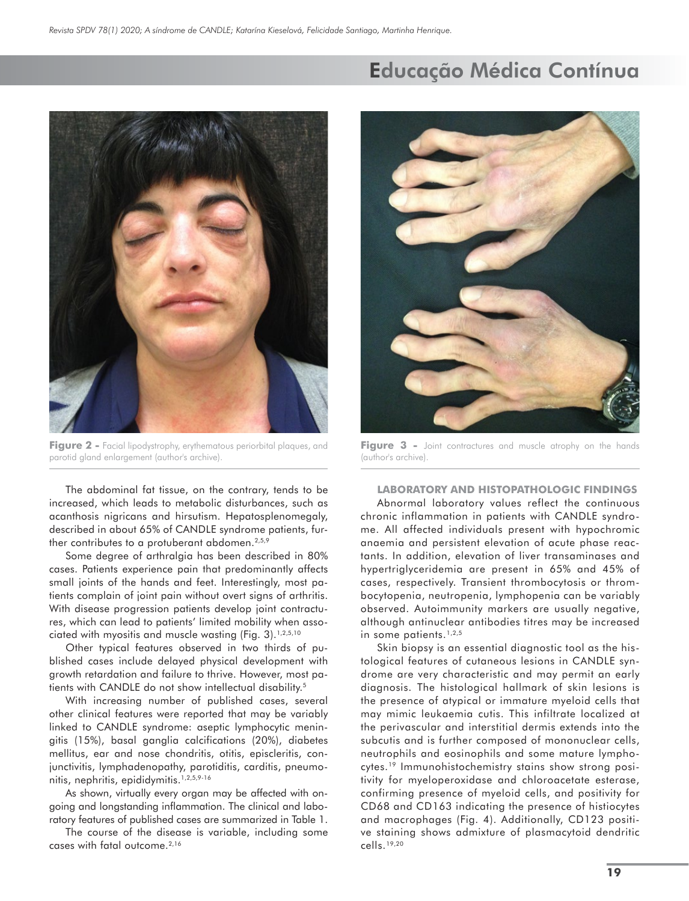

Figure 2 - Facial lipodystrophy, erythematous periorbital plaques, and parotid gland enlargement (author's archive).

The abdominal fat tissue, on the contrary, tends to be increased, which leads to metabolic disturbances, such as acanthosis nigricans and hirsutism. Hepatosplenomegaly, described in about 65% of CANDLE syndrome patients, further contributes to a protuberant abdomen.<sup>2,5,9</sup>

Some degree of arthralgia has been described in 80% cases. Patients experience pain that predominantly affects small joints of the hands and feet. Interestingly, most patients complain of joint pain without overt signs of arthritis. With disease progression patients develop joint contractures, which can lead to patients' limited mobility when associated with myositis and muscle wasting (Fig. 3).<sup>1,2,5,10</sup>

Other typical features observed in two thirds of published cases include delayed physical development with growth retardation and failure to thrive. However, most patients with CANDLE do not show intellectual disability.<sup>5</sup>

With increasing number of published cases, several other clinical features were reported that may be variably linked to CANDLE syndrome: aseptic lymphocytic meningitis (15%), basal ganglia calcifications (20%), diabetes mellitus, ear and nose chondritis, otitis, episcleritis, conjunctivitis, lymphadenopathy, parotiditis, carditis, pneumonitis, nephritis, epididymitis.1,2,5,9-16

As shown, virtually every organ may be affected with ongoing and longstanding inflammation. The clinical and laboratory features of published cases are summarized in Table 1.

The course of the disease is variable, including some cases with fatal outcome.2,16

## Educação Médica Contínua



Figure 3 - Joint contractures and muscle atrophy on the hands (author's archive).

**LABORATORY AND HISTOPATHOLOGIC FINDINGS** Abnormal laboratory values reflect the continuous chronic inflammation in patients with CANDLE syndrome. All affected individuals present with hypochromic anaemia and persistent elevation of acute phase reactants. In addition, elevation of liver transaminases and hypertriglyceridemia are present in 65% and 45% of cases, respectively. Transient thrombocytosis or thrombocytopenia, neutropenia, lymphopenia can be variably observed. Autoimmunity markers are usually negative, although antinuclear antibodies titres may be increased in some patients.<sup>1,2,5</sup>

Skin biopsy is an essential diagnostic tool as the histological features of cutaneous lesions in CANDLE syndrome are very characteristic and may permit an early diagnosis. The histological hallmark of skin lesions is the presence of atypical or immature myeloid cells that may mimic leukaemia cutis. This infiltrate localized at the perivascular and interstitial dermis extends into the subcutis and is further composed of mononuclear cells, neutrophils and eosinophils and some mature lymphocytes.19 Immunohistochemistry stains show strong positivity for myeloperoxidase and chloroacetate esterase, confirming presence of myeloid cells, and positivity for CD68 and CD163 indicating the presence of histiocytes and macrophages (Fig. 4). Additionally, CD123 positive staining shows admixture of plasmacytoid dendritic cells.19,20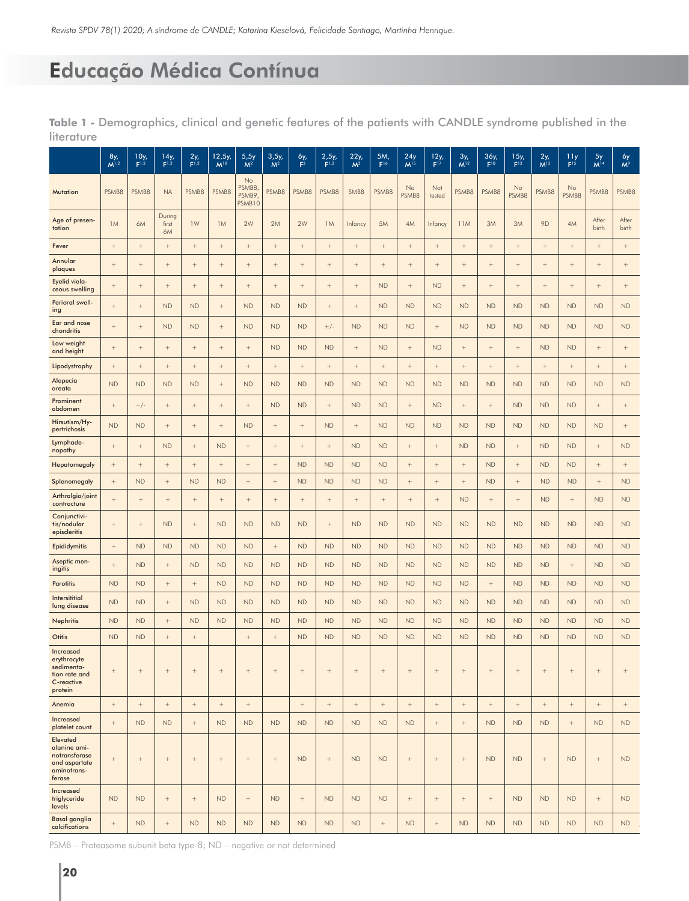|                                                                                     | 8y,<br>$M^{1,2}$  | 10y,<br>F <sup>1,2</sup>          | 14y,<br>F <sup>1,2</sup> | $2y_{r}$          | 12, 5y<br>$M^{10}$                | 5,5y<br>M <sup>2</sup>         | 3,5y,<br>M <sup>2</sup> | 6у,<br>F <sup>2</sup> | 2,5y,<br>F <sup>1,2</sup>         | 22y,<br>M <sup>2</sup>            | 5M,<br>F16 | 24y<br>M <sup>15</sup>            | 12y<br>F <sup>17</sup> | $\frac{3y}{M^{12}}$ | 36y<br>$F^{18}$   | 15y<br>F <sup>13</sup> | $2y_t$<br>M <sup>13</sup>         | $\frac{11y}{F^{15}}$ | 5y<br>M <sup>14</sup>             | $\frac{6y}{M^9}$  |
|-------------------------------------------------------------------------------------|-------------------|-----------------------------------|--------------------------|-------------------|-----------------------------------|--------------------------------|-------------------------|-----------------------|-----------------------------------|-----------------------------------|------------|-----------------------------------|------------------------|---------------------|-------------------|------------------------|-----------------------------------|----------------------|-----------------------------------|-------------------|
| <b>Mutation</b>                                                                     | PSMB8             | PSMB8                             | <b>NA</b>                | PSMB8             | PSMB8                             | No<br>PSMB8<br>PSMB9<br>PSMB10 | PSMB8                   | PSMB8                 | PSMB8                             | SMB8                              | PSMB8      | No<br>PSMB8                       | Not<br>tested          | PSMB8               | PSMB8             | No<br>PSMB8            | PSMB8                             | No<br>PSMB8          | PSMB8                             | PSMB8             |
| Age of presen-<br>tation                                                            | 1M                | 6M                                | During<br>first<br>6M    | 1W                | 1M                                | 2W                             | 2M                      | 2W                    | 1M                                | Infancy                           | 5M         | 4M                                | Infancy                | 11M                 | 3M                | 3M                     | 9D                                | 4M                   | After<br>birth                    | After<br>birth    |
| Fever                                                                               | $^{+}$            | $+$                               | $+$                      | $\! + \!\!\!\!$   | $\qquad \qquad +$                 | $^+$                           | $^{+}$                  | $+$                   | $+$                               | $+$                               | $^+$       |                                   | $\! + \!\!\!\!$        | $^{+}$              | $^+$              | $+$                    | $^{+}$                            | $^+$                 | $^+$                              | $\qquad \qquad +$ |
| Annular<br>plaques                                                                  | $^{+}$            |                                   | $\qquad \qquad +$        | $^{+}$            | $\qquad \qquad +$                 | $^+$                           | $^{+}$                  | $\qquad \qquad +$     | $\qquad \qquad +$                 | $\qquad \qquad +$                 | $^+$       | $\qquad \qquad +$                 | $\! + \!\!\!\!$        | $^+$                | $^+$              |                        | $\qquad \qquad +$                 | $^+$                 | $\qquad \qquad +$                 | $\qquad \qquad +$ |
| Eyelid viola-<br>ceous swelling                                                     | $^+$              |                                   | $\! + \!\!\!\!$          | $^{+}$            | $\qquad \qquad +$                 | $^+$                           | $\qquad \qquad +$       | $\qquad \qquad +$     | $\qquad \qquad +$                 | $\qquad \qquad +$                 | <b>ND</b>  | $^{+}$                            | <b>ND</b>              | $^+$                | $^+$              | $\! + \!\!\!\!$        | $\qquad \qquad +$                 | $^+$                 | $\qquad \qquad +$                 | $^{+}$            |
| Perioral swell-<br>ing                                                              | $^{+}$            |                                   | <b>ND</b>                | <b>ND</b>         | $^+$                              | <b>ND</b>                      | <b>ND</b>               | <b>ND</b>             | $^{+}$                            | $\qquad \qquad +$                 | <b>ND</b>  | <b>ND</b>                         | <b>ND</b>              | <b>ND</b>           | <b>ND</b>         | <b>ND</b>              | <b>ND</b>                         | <b>ND</b>            | <b>ND</b>                         | <b>ND</b>         |
| Ear and nose<br>chondritis                                                          | $^+$              | $\hspace{1.0cm} + \hspace{1.0cm}$ | <b>ND</b>                | ND                | $\qquad \qquad +$                 | ND                             | ND                      | ND                    | $+/-$                             | <b>ND</b>                         | ND         | ND                                | $^+$                   | ND                  | ${\sf ND}$        | <b>ND</b>              | <b>ND</b>                         | ${\sf ND}$           | ND                                | ND                |
| Low weight<br>and height                                                            | $^{+}$            | $\qquad \qquad +$                 |                          | $^+$              |                                   | $^+$                           | ND                      | ND                    | <b>ND</b>                         | $^{+}$                            | ND         | $\qquad \qquad +$                 | <b>ND</b>              | $^+$                | $\qquad \qquad +$ | $\qquad \qquad +$      | ${\sf ND}$                        | ${\sf ND}$           | $\qquad \qquad +$                 | $^{+}$            |
| Lipodystrophy                                                                       | $^+$              | $^+$                              | $\! + \!\!\!\!$          | $^+$              | $\qquad \qquad +$                 | $^+$                           | $^+$                    | $^+$                  | $\hspace{0.1mm} + \hspace{0.1mm}$ | $\qquad \qquad +$                 | $^+$       | $\qquad \qquad +$                 | $^+$                   | $^+$                | $\qquad \qquad +$ | $\! + \!\!\!\!$        | $^{\mathrm{+}}$                   | $^+$                 | $^+$                              | $\qquad \qquad +$ |
| Alopecia<br>areata                                                                  | <b>ND</b>         | <b>ND</b>                         | <b>ND</b>                | <b>ND</b>         |                                   | <b>ND</b>                      | <b>ND</b>               | <b>ND</b>             | <b>ND</b>                         | <b>ND</b>                         | <b>ND</b>  | <b>ND</b>                         | <b>ND</b>              | <b>ND</b>           | <b>ND</b>         | <b>ND</b>              | <b>ND</b>                         | <b>ND</b>            | <b>ND</b>                         | <b>ND</b>         |
| Prominent<br>abdomen                                                                | $^+$              | $+/-$                             | $\! + \!\!\!\!$          | $\qquad \qquad +$ | $\qquad \qquad +$                 | $^+$                           | <b>ND</b>               | <b>ND</b>             | $\qquad \qquad +$                 | <b>ND</b>                         | ${\sf ND}$ | $\qquad \qquad +$                 | <b>ND</b>              | $^+$                | $\qquad \qquad +$ | <b>ND</b>              | <b>ND</b>                         | <b>ND</b>            | $\qquad \qquad +$                 | $^{+}$            |
| Hirsutism/Hy-<br>pertrichosis                                                       | <b>ND</b>         | <b>ND</b>                         | $\qquad \qquad +$        | $\qquad \qquad +$ | $\qquad \qquad +$                 | <b>ND</b>                      | $^{+}$                  | $\qquad \qquad +$     | <b>ND</b>                         | $^{+}$                            | <b>ND</b>  | <b>ND</b>                         | <b>ND</b>              | <b>ND</b>           | <b>ND</b>         | <b>ND</b>              | <b>ND</b>                         | <b>ND</b>            | <b>ND</b>                         | $^{+}$            |
| Lymphade-<br>nopathy                                                                | $\qquad \qquad +$ |                                   | <b>ND</b>                | $^{+}$            | <b>ND</b>                         | $^+$                           | $^{+}$                  | $\! + \!\!\!\!$       | $^{+}$                            | ND                                | ND         | $\qquad \qquad +$                 | $^+$                   | ${\sf ND}$          | ND                | $\qquad \qquad +$      | ND                                | ${\sf ND}$           | $\hspace{1.0cm} + \hspace{1.0cm}$ | <b>ND</b>         |
| Hepatomegaly                                                                        | $^{\mathrm{+}}$   | $+$                               | $\qquad \qquad +$        | $^+$              | $\qquad \qquad +$                 | $^+$                           | $^{+}$                  | <b>ND</b>             | <b>ND</b>                         | ND                                | ND         | $\qquad \qquad +$                 | $+$                    | $+$                 | <b>ND</b>         | $\! + \!\!\!\!$        | ND                                | ND                   | $\hspace{1.0cm} + \hspace{1.0cm}$ | $+$               |
| Splenomegaly                                                                        | $^+$              | <b>ND</b>                         | $^+$                     | <b>ND</b>         | <b>ND</b>                         | $^+$                           | $^+$                    | <b>ND</b>             | <b>ND</b>                         | <b>ND</b>                         | <b>ND</b>  | $\qquad \qquad +$                 | $\qquad \qquad +$      | $^+$                | <b>ND</b>         | $\! + \!\!\!\!$        | <b>ND</b>                         | <b>ND</b>            | $^+$                              | <b>ND</b>         |
| Arthralgia/joint<br>contracture                                                     | $^{+}$            |                                   | $\qquad \qquad +$        | $^{+}$            |                                   | $^+$                           | $^{+}$                  | $\qquad \qquad +$     | $\qquad \qquad +$                 |                                   | $^+$       | $\! + \!\!\!\!$                   | $^+$                   | <b>ND</b>           | $^+$              | $\qquad \qquad +$      | ND                                | $^+$                 | <b>ND</b>                         | <b>ND</b>         |
| Conjunctivi-<br>tis/nodular<br>episcleritis                                         | $^{+}$            | $\qquad \qquad +$                 | <b>ND</b>                | $\qquad \qquad +$ | ND                                | <b>ND</b>                      | <b>ND</b>               | <b>ND</b>             | $\qquad \qquad +$                 | <b>ND</b>                         | ${\sf ND}$ | ${\sf ND}$                        | <b>ND</b>              | ${\sf ND}$          | ${\sf ND}$        | <b>ND</b>              | ND                                | ND                   | ND                                | <b>ND</b>         |
| <b>Epididymitis</b>                                                                 | $^+$              | ND                                | <b>ND</b>                | ND                | ND                                | ${\sf ND}$                     | $^+$                    | <b>ND</b>             | ND                                | <b>ND</b>                         | ND         | ND                                | <b>ND</b>              | <b>ND</b>           | ND                | ND                     | ND                                | ND                   | ND                                | ND                |
| Aseptic men-<br>ingitis                                                             | $^{+}$            | <b>ND</b>                         | $\qquad \qquad +$        | ND                | <b>ND</b>                         | <b>ND</b>                      | <b>ND</b>               | <b>ND</b>             | <b>ND</b>                         | <b>ND</b>                         | ND         | <b>ND</b>                         | <b>ND</b>              | <b>ND</b>           | ${\sf ND}$        | <b>ND</b>              | <b>ND</b>                         | $^+$                 | <b>ND</b>                         | ND                |
| <b>Parotitis</b>                                                                    | <b>ND</b>         | <b>ND</b>                         | $^+$                     | $^{+}$            | <b>ND</b>                         | <b>ND</b>                      | <b>ND</b>               | <b>ND</b>             | <b>ND</b>                         | <b>ND</b>                         | ND         | <b>ND</b>                         | <b>ND</b>              | <b>ND</b>           | $^+$              | <b>ND</b>              | <b>ND</b>                         | ND                   | <b>ND</b>                         | ND                |
| Intersititial<br>lung disease                                                       | <b>ND</b>         | ${\sf ND}$                        |                          | <b>ND</b>         | <b>ND</b>                         | <b>ND</b>                      | <b>ND</b>               | <b>ND</b>             | <b>ND</b>                         | <b>ND</b>                         | <b>ND</b>  | <b>ND</b>                         | <b>ND</b>              | ND                  | ${\sf ND}$        | <b>ND</b>              | <b>ND</b>                         | ND                   | <b>ND</b>                         | ND                |
| <b>Nephritis</b>                                                                    | <b>ND</b>         | <b>ND</b>                         |                          | <b>ND</b>         | ND                                | <b>ND</b>                      | <b>ND</b>               | <b>ND</b>             | <b>ND</b>                         | <b>ND</b>                         | ${\sf ND}$ | <b>ND</b>                         | <b>ND</b>              | <b>ND</b>           | <b>ND</b>         | <b>ND</b>              | <b>ND</b>                         | <b>ND</b>            | <b>ND</b>                         | <b>ND</b>         |
| <b>Otitis</b>                                                                       | <b>ND</b>         | ND                                | $^+$                     | $^+$              |                                   | $^+$                           | $^{+}$                  | <b>ND</b>             | ND                                | <b>ND</b>                         | ND         | ND                                | <b>ND</b>              | ${\sf ND}$          | ND                | <b>ND</b>              | ${\sf ND}$                        | ${\sf ND}$           | <b>ND</b>                         | ND                |
| Increased<br>erythrocyte<br>sedimenta-<br>tion rate and<br>C-reactive<br>protein    | $^+$              | $\hspace{1.0cm} + \hspace{1.0cm}$ | $^+$                     | $^{+}$            |                                   |                                | $^{+}$                  | $^+$                  | $^{+}$                            | $\hspace{1.1cm} + \hspace{1.1cm}$ | $^+$       |                                   | $^+$                   | $\qquad \qquad +$   | $\qquad \qquad +$ | $\qquad \qquad +$      | $\hspace{1.1cm} + \hspace{1.1cm}$ | $\! + \!\!\!\!$      | $\hspace{1.0cm} + \hspace{1.0cm}$ | $^+$              |
| Anemia                                                                              | $^+$              | $^+$                              | $^+$                     | $^+$              | $\hspace{1.0cm} + \hspace{1.0cm}$ | $^+$                           |                         | $^+$                  | $\qquad \qquad +$                 | $^+$                              | $^+$       | $\hspace{1.0cm} + \hspace{1.0cm}$ | $^+$                   | $^+$                | $\qquad \qquad +$ | $^+$                   | $^{\mathrm{+}}$                   | $^+$                 | $\hspace{1.0cm} + \hspace{1.0cm}$ | $^+$              |
| Increased<br>platelet count                                                         | $^+$              | <b>ND</b>                         | <b>ND</b>                | $^+$              | ND                                | <b>ND</b>                      | ND                      | <b>ND</b>             | <b>ND</b>                         | ND                                | ND         | ND                                | $^+$                   | $^+$                | ND                | <b>ND</b>              | ND                                | $^+$                 | <b>ND</b>                         | ${\sf ND}$        |
| Elevated<br>alanine ami-<br>notransferase<br>and aspartate<br>aminotrans-<br>ferase | $^+$              | $^+$                              | $^+$                     | $^+$              | $^+$                              | $^+$                           | $^+$                    | <b>ND</b>             | $^+$                              | <b>ND</b>                         | <b>ND</b>  | $\qquad \qquad +$                 | $^+$                   | $^+$                | <b>ND</b>         | <b>ND</b>              | $\boldsymbol{+}$                  | <b>ND</b>            | $^+$                              | <b>ND</b>         |
| Increased<br>triglyceride<br>levels                                                 | <b>ND</b>         | <b>ND</b>                         | $^+$                     | $^+$              | <b>ND</b>                         | $^+$                           | <b>ND</b>               | $^+$                  | <b>ND</b>                         | <b>ND</b>                         | ND         | $\qquad \qquad +$                 | $\qquad \qquad +$      | $^+$                | $^+$              | <b>ND</b>              | <b>ND</b>                         | <b>ND</b>            | $^+$                              | <b>ND</b>         |
| <b>Basal ganglia</b><br>calcifications                                              | $^+$              | <b>ND</b>                         | $\qquad \qquad +$        | ${\sf ND}$        | <b>ND</b>                         | <b>ND</b>                      | <b>ND</b>               | <b>ND</b>             | <b>ND</b>                         | <b>ND</b>                         | $^+$       | <b>ND</b>                         | $\qquad \qquad +$      | <b>ND</b>           | <b>ND</b>         | <b>ND</b>              | <b>ND</b>                         | <b>ND</b>            | <b>ND</b>                         | <b>ND</b>         |

**Table 1 -** Demographics, clinical and genetic features of the patients with CANDLE syndrome published in the literature

PSMB – Proteasome subunit beta type-8; ND – negative or not determined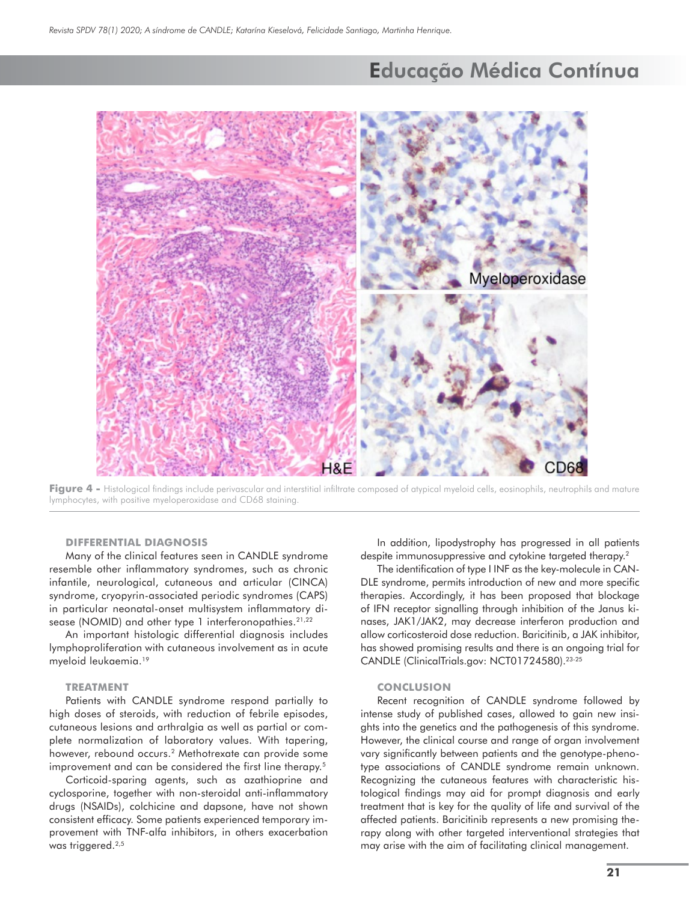

Figure 4 - Histological findings include perivascular and interstitial infiltrate composed of atypical myeloid cells, eosinophils, neutrophils and mature lymphocytes, with positive myeloperoxidase and CD68 staining.

### **DIFFERENTIAL DIAGNOSIS**

Many of the clinical features seen in CANDLE syndrome resemble other inflammatory syndromes, such as chronic infantile, neurological, cutaneous and articular (CINCA) syndrome, cryopyrin-associated periodic syndromes (CAPS) in particular neonatal-onset multisystem inflammatory disease (NOMID) and other type 1 interferonopathies.<sup>21,22</sup>

An important histologic differential diagnosis includes lymphoproliferation with cutaneous involvement as in acute myeloid leukaemia.19

#### **TREATMENT**

Patients with CANDLE syndrome respond partially to high doses of steroids, with reduction of febrile episodes, cutaneous lesions and arthralgia as well as partial or complete normalization of laboratory values. With tapering, however, rebound occurs.<sup>2</sup> Methotrexate can provide some improvement and can be considered the first line therapy.<sup>5</sup>

Corticoid-sparing agents, such as azathioprine and cyclosporine, together with non-steroidal anti-inflammatory drugs (NSAIDs), colchicine and dapsone, have not shown consistent efficacy. Some patients experienced temporary improvement with TNF-alfa inhibitors, in others exacerbation was triggered.<sup>2,5</sup>

In addition, lipodystrophy has progressed in all patients despite immunosuppressive and cytokine targeted therapy.<sup>2</sup>

The identification of type I INF as the key-molecule in CAN-DLE syndrome, permits introduction of new and more specific therapies. Accordingly, it has been proposed that blockage of IFN receptor signalling through inhibition of the Janus kinases, JAK1/JAK2, may decrease interferon production and allow corticosteroid dose reduction. Baricitinib, a JAK inhibitor, has showed promising results and there is an ongoing trial for CANDLE (ClinicalTrials.gov: NCT01724580).23-25

#### **CONCLUSION**

Recent recognition of CANDLE syndrome followed by intense study of published cases, allowed to gain new insights into the genetics and the pathogenesis of this syndrome. However, the clinical course and range of organ involvement vary significantly between patients and the genotype-phenotype associations of CANDLE syndrome remain unknown. Recognizing the cutaneous features with characteristic histological findings may aid for prompt diagnosis and early treatment that is key for the quality of life and survival of the affected patients. Baricitinib represents a new promising therapy along with other targeted interventional strategies that may arise with the aim of facilitating clinical management.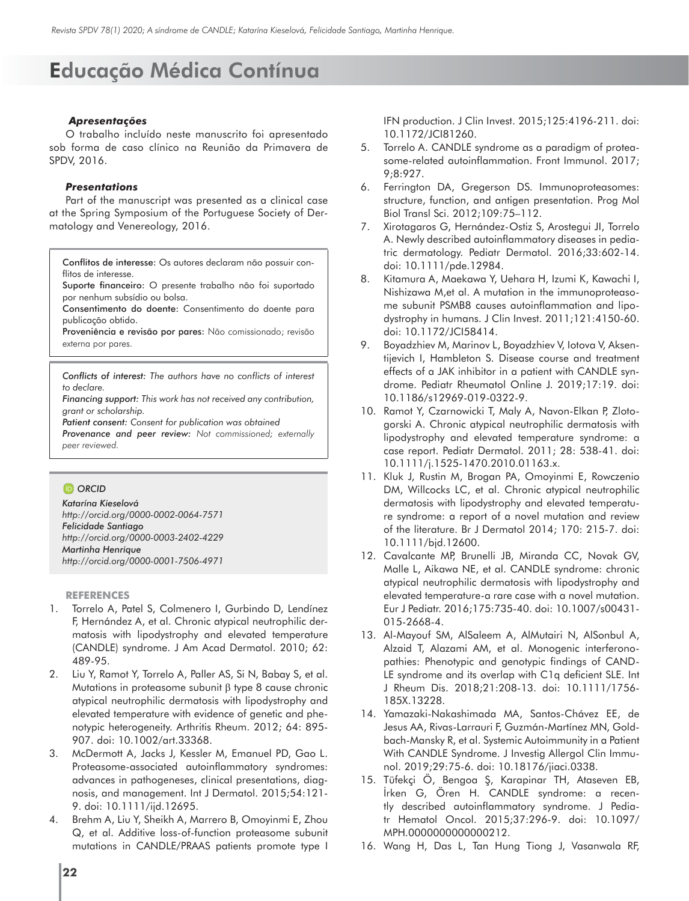### *Apresentações*

O trabalho incluído neste manuscrito foi apresentado sob forma de caso clínico na Reunião da Primavera de SPDV, 2016.

### *Presentations*

Part of the manuscript was presented as a clinical case at the Spring Symposium of the Portuguese Society of Dermatology and Venereology, 2016.

Conflitos de interesse: Os autores declaram não possuir conflitos de interesse.

Suporte financeiro: O presente trabalho não foi suportado por nenhum subsídio ou bolsa.

Consentimento do doente: Consentimento do doente para publicação obtido.

Proveniência e revisão por pares: Não comissionado; revisão externa por pares.

*Conflicts of interest: The authors have no conflicts of interest to declare.* 

*Financing support: This work has not received any contribution, grant or scholarship.*

*Patient consent: Consent for publication was obtained*

*Provenance and peer review: Not commissioned; externally peer reviewed.*

### *O* ORCID

*Katarína Kieselová http://orcid.org/0000-0002-0064-7571 Felicidade Santiago http://orcid.org/0000-0003-2402-4229 Martinha Henrique http://orcid.org/0000-0001-7506-4971* 

#### **REFERENCES**

- 1. Torrelo A, Patel S, Colmenero I, Gurbindo D, Lendínez F, Hernández A, et al. Chronic atypical neutrophilic dermatosis with lipodystrophy and elevated temperature (CANDLE) syndrome. J Am Acad Dermatol. 2010; 62: 489-95.
- 2. Liu Y, Ramot Y, Torrelo A, Paller AS, Si N, Babay S, et al. Mutations in proteasome subunit β type 8 cause chronic atypical neutrophilic dermatosis with lipodystrophy and elevated temperature with evidence of genetic and phenotypic heterogeneity. Arthritis Rheum. 2012; 64: 895- 907. doi: 10.1002/art.33368.
- 3. McDermott A, Jacks J, Kessler M, Emanuel PD, Gao L. Proteasome-associated autoinflammatory syndromes: advances in pathogeneses, clinical presentations, diagnosis, and management. Int J Dermatol. 2015;54:121- 9. doi: 10.1111/ijd.12695.
- 4. Brehm A, Liu Y, Sheikh A, Marrero B, Omoyinmi E, Zhou Q, et al. Additive loss-of-function proteasome subunit mutations in CANDLE/PRAAS patients promote type I

IFN production. J Clin Invest. 2015;125:4196-211. doi: 10.1172/JCI81260.

- 5. Torrelo A. CANDLE syndrome as a paradigm of proteasome-related autoinflammation. Front Immunol. 2017; 9;8:927.
- 6. Ferrington DA, Gregerson DS. Immunoproteasomes: structure, function, and antigen presentation. Prog Mol Biol Transl Sci. 2012;109:75–112.
- 7. Xirotagaros G, Hernández-Ostiz S, Arostegui JI, Torrelo A. Newly described autoinflammatory diseases in pediatric dermatology. Pediatr Dermatol. 2016;33:602-14. doi: 10.1111/pde.12984.
- 8. Kitamura A, Maekawa Y, Uehara H, Izumi K, Kawachi I, Nishizawa M,et al. A mutation in the immunoproteasome subunit PSMB8 causes autoinflammation and lipodystrophy in humans. J Clin Invest. 2011;121:4150-60. doi: 10.1172/JCI58414.
- 9. Boyadzhiev M, Marinov L, Boyadzhiev V, Iotova V, Aksentijevich I, Hambleton S. Disease course and treatment effects of a JAK inhibitor in a patient with CANDLE syndrome. Pediatr Rheumatol Online J. 2019;17:19. doi: 10.1186/s12969-019-0322-9.
- 10. Ramot Y, Czarnowicki T, Maly A, Navon-Elkan P, Zlotogorski A. Chronic atypical neutrophilic dermatosis with lipodystrophy and elevated temperature syndrome: a case report. Pediatr Dermatol. 2011; 28: 538-41. doi: 10.1111/j.1525-1470.2010.01163.x.
- 11. Kluk J, Rustin M, Brogan PA, Omoyinmi E, Rowczenio DM, Willcocks LC, et al. Chronic atypical neutrophilic dermatosis with lipodystrophy and elevated temperature syndrome: a report of a novel mutation and review of the literature. Br J Dermatol 2014; 170: 215-7. doi: 10.1111/bjd.12600.
- 12. Cavalcante MP, Brunelli JB, Miranda CC, Novak GV, Malle L, Aikawa NE, et al. CANDLE syndrome: chronic atypical neutrophilic dermatosis with lipodystrophy and elevated temperature-a rare case with a novel mutation. Eur J Pediatr. 2016;175:735-40. doi: 10.1007/s00431- 015-2668-4.
- 13. Al-Mayouf SM, AlSaleem A, AlMutairi N, AlSonbul A, Alzaid T, Alazami AM, et al. Monogenic interferonopathies: Phenotypic and genotypic findings of CAND-LE syndrome and its overlap with C1q deficient SLE. Int J Rheum Dis. 2018;21:208-13. doi: 10.1111/1756- 185X.13228.
- 14. Yamazaki-Nakashimada MA, Santos-Chávez EE, de Jesus AA, Rivas-Larrauri F, Guzmán-Martínez MN, Goldbach-Mansky R, et al. Systemic Autoimmunity in a Patient With CANDLE Syndrome. J Investig Allergol Clin Immunol. 2019;29:75-6. doi: 10.18176/jiaci.0338.
- 15. Tüfekçi Ö, Bengoa Ş, Karapinar TH, Ataseven EB, İrken G, Ören H. CANDLE syndrome: a recently described autoinflammatory syndrome. J Pediatr Hematol Oncol. 2015;37:296-9. doi: 10.1097/ MPH.0000000000000212.
- 16. Wang H, Das L, Tan Hung Tiong J, Vasanwala RF,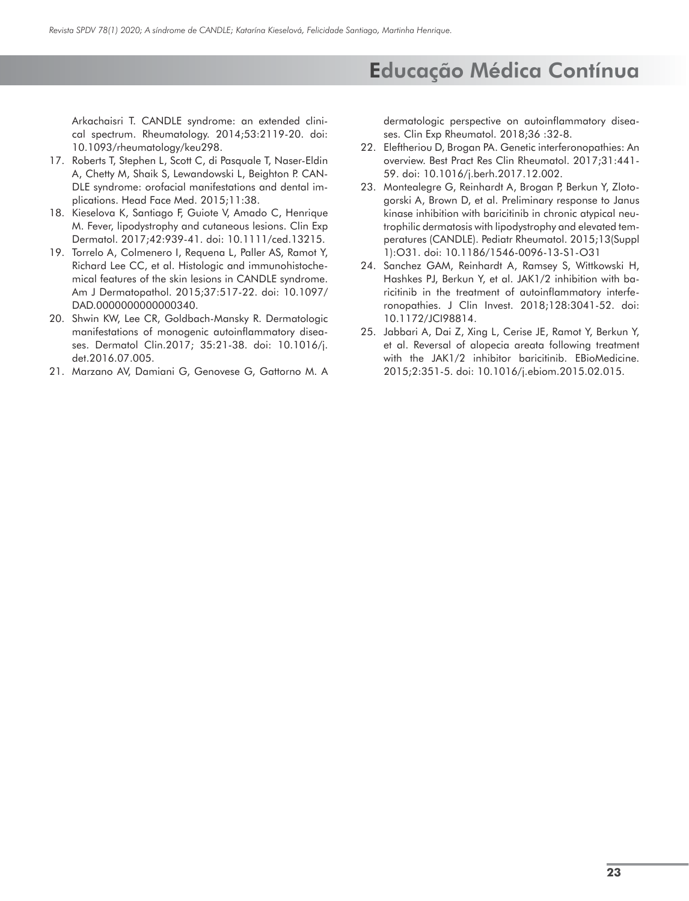Arkachaisri T. CANDLE syndrome: an extended clinical spectrum. Rheumatology. 2014;53:2119-20. doi: 10.1093/rheumatology/keu298.

- 17. Roberts T, Stephen L, Scott C, di Pasquale T, Naser-Eldin A, Chetty M, Shaik S, Lewandowski L, Beighton P. CAN-DLE syndrome: orofacial manifestations and dental implications. Head Face Med. 2015;11:38.
- 18. Kieselova K, Santiago F, Guiote V, Amado C, Henrique M. Fever, lipodystrophy and cutaneous lesions. Clin Exp Dermatol. 2017;42:939-41. doi: 10.1111/ced.13215.
- 19. Torrelo A, Colmenero I, Requena L, Paller AS, Ramot Y, Richard Lee CC, et al. Histologic and immunohistochemical features of the skin lesions in CANDLE syndrome. Am J Dermatopathol. 2015;37:517-22. doi: 10.1097/ DAD.0000000000000340.
- 20. Shwin KW, Lee CR, Goldbach-Mansky R. Dermatologic manifestations of monogenic autoinflammatory diseases. Dermatol Clin.2017; 35:21-38. doi: 10.1016/j. det.2016.07.005.
- 21. Marzano AV, Damiani G, Genovese G, Gattorno M. A

dermatologic perspective on autoinflammatory diseases. Clin Exp Rheumatol. 2018;36 :32-8.

- 22. Eleftheriou D, Brogan PA. Genetic interferonopathies: An overview. Best Pract Res Clin Rheumatol. 2017;31:441- 59. doi: 10.1016/j.berh.2017.12.002.
- 23. Montealegre G, Reinhardt A, Brogan P, Berkun Y, Zlotogorski A, Brown D, et al. Preliminary response to Janus kinase inhibition with baricitinib in chronic atypical neutrophilic dermatosis with lipodystrophy and elevated temperatures (CANDLE). Pediatr Rheumatol. 2015;13(Suppl 1):O31. doi: 10.1186/1546-0096-13-S1-O31
- 24. Sanchez GAM, Reinhardt A, Ramsey S, Wittkowski H, Hashkes PJ, Berkun Y, et al. JAK1/2 inhibition with baricitinib in the treatment of autoinflammatory interferonopathies. J Clin Invest. 2018;128:3041-52. doi: 10.1172/JCI98814.
- 25. Jabbari A, Dai Z, Xing L, Cerise JE, Ramot Y, Berkun Y, et al. Reversal of alopecia areata following treatment with the JAK1/2 inhibitor baricitinib. EBioMedicine. 2015;2:351-5. doi: 10.1016/j.ebiom.2015.02.015.